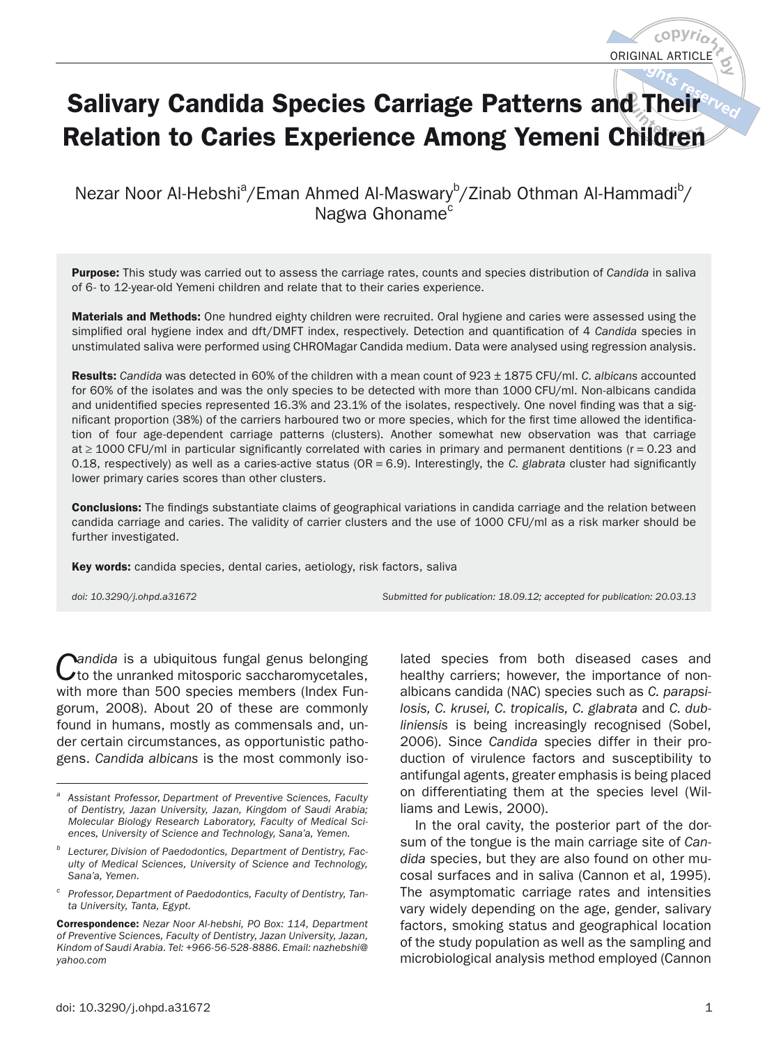# **Salivary Candida Species Carriage Patterns and Their Relation to Caries Experience Among Yemeni Children**

Nezar Noor Al-Hebshi<sup>a</sup>/Eman Ahmed Al-Maswary<sup>b</sup>/Zinab Othman Al-Hammadi<sup>b</sup>/ Nagwa Ghoname<sup>c</sup>

**Purpose:** This study was carried out to assess the carriage rates, counts and species distribution of Candida in saliva of 6- to 12-year-old Yemeni children and relate that to their caries experience.

**Materials and Methods:** One hundred eighty children were recruited. Oral hygiene and caries were assessed using the simplified oral hygiene index and dft/DMFT index, respectively. Detection and quantification of 4 Candida species in unstimulated saliva were performed using CHROMagar Candida medium. Data were analysed using regression analysis.

**Results:** Candida was detected in 60% of the children with a mean count of 923 ± 1875 CFU/ml. C. albicans accounted for 60% of the isolates and was the only species to be detected with more than 1000 CFU/ml. Non-albicans candida and unidentified species represented 16.3% and 23.1% of the isolates, respectively. One novel finding was that a significant proportion (38%) of the carriers harboured two or more species, which for the first time allowed the identification of four age-dependent carriage patterns (clusters). Another somewhat new observation was that carriage at ≥ 1000 CFU/ml in particular significantly correlated with caries in primary and permanent dentitions (r = 0.23 and 0.18, respectively) as well as a caries-active status ( $OR = 6.9$ ). Interestingly, the C. glabrata cluster had significantly lower primary caries scores than other clusters.

**Conclusions:** The findings substantiate claims of geographical variations in candida carriage and the relation between candida carriage and caries. The validity of carrier clusters and the use of 1000 CFU/ml as a risk marker should be further investigated.

**Key words:** candida species, dental caries, aetiology, risk factors, saliva

doi: 10.3290/j.ohpd.a31672 Submitted for publication: 18.09.12; accepted for publication: 20.03.13

Candida is a ubiquitous fungal genus belonging<br>
to the unranked mitosporic saccharomycetales, with more than 500 species members (Index Fungorum, 2008). About 20 of these are commonly found in humans, mostly as commensals and, under certain circumstances, as opportunistic pathogens. Candida albicans is the most commonly iso-

**Correspondence:** Nezar Noor Al-hebshi, PO Box: 114, Department of Preventive Sciences, Faculty of Dentistry, Jazan University, Jazan, Kindom of Saudi Arabia. Tel: +966-56-528-8886. Email: nazhebshi@ yahoo.com

lated species from both diseased cases and healthy carriers; however, the importance of nonalbicans candida (NAC) species such as C. parapsilosis, C. krusei, C. tropicalis, C. glabrata and C. dubliniensis is being increasingly recognised (Sobel, 2006). Since Candida species differ in their production of virulence factors and susceptibility to antifungal agents, greater emphasis is being placed on differentiating them at the species level (Williams and Lewis, 2000).

In the oral cavity, the posterior part of the dorsum of the tongue is the main carriage site of Candida species, but they are also found on other mucosal surfaces and in saliva (Cannon et al, 1995). The asymptomatic carriage rates and intensities vary widely depending on the age, gender, salivary factors, smoking status and geographical location of the study population as well as the sampling and microbiological analysis method employed (Cannon

Assistant Professor, Department of Preventive Sciences, Faculty of Dentistry, Jazan University, Jazan, Kingdom of Saudi Arabia; Molecular Biology Research Laboratory, Faculty of Medical Sciences, University of Science and Technology, Sana'a, Yemen.

b Lecturer, Division of Paedodontics, Department of Dentistry, Faculty of Medical Sciences, University of Science and Technology, Sana'a, Yemen.

<sup>&</sup>lt;sup>c</sup> Professor, Department of Paedodontics, Faculty of Dentistry, Tanta University, Tanta, Egypt.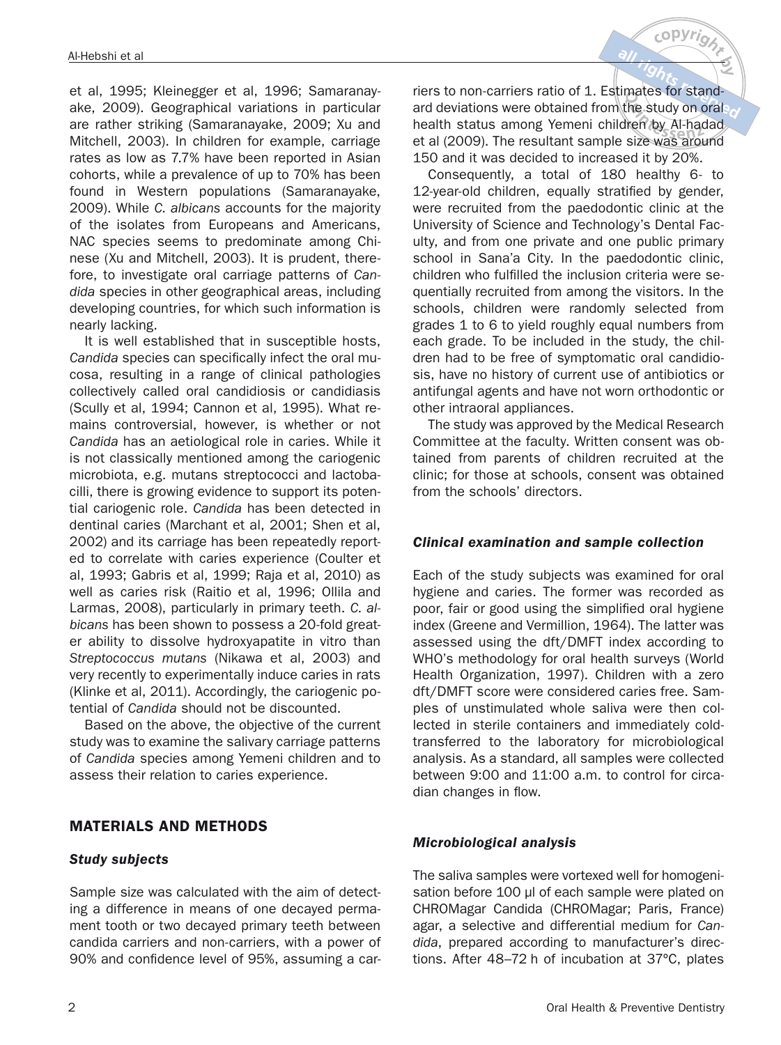et al, 1995; Kleinegger et al, 1996; Samaranayake, 2009). Geographical variations in particular are rather striking (Samaranayake, 2009; Xu and Mitchell, 2003). In children for example, carriage rates as low as 7.7% have been reported in Asian cohorts, while a prevalence of up to 70% has been found in Western populations (Samaranayake, 2009). While C. albicans accounts for the majority of the isolates from Europeans and Americans, NAC species seems to predominate among Chinese (Xu and Mitchell, 2003). It is prudent, therefore, to investigate oral carriage patterns of Candida species in other geographical areas, including developing countries, for which such information is nearly lacking.

It is well established that in susceptible hosts, Candida species can specifically infect the oral mucosa, resulting in a range of clinical pathologies collectively called oral candidiosis or candidiasis (Scully et al, 1994; Cannon et al, 1995). What remains controversial, however, is whether or not Candida has an aetiological role in caries. While it is not classically mentioned among the cariogenic microbiota, e.g. mutans streptococci and lactobacilli, there is growing evidence to support its potential cariogenic role. Candida has been detected in dentinal caries (Marchant et al, 2001; Shen et al, 2002) and its carriage has been repeatedly reported to correlate with caries experience (Coulter et al, 1993; Gabris et al, 1999; Raja et al, 2010) as well as caries risk (Raitio et al, 1996; Ollila and Larmas, 2008), particularly in primary teeth. C. albicans has been shown to possess a 20-fold greater ability to dissolve hydroxyapatite in vitro than Streptococcus mutans (Nikawa et al, 2003) and very recently to experimentally induce caries in rats (Klinke et al, 2011). Accordingly, the cariogenic potential of Candida should not be discounted.

Based on the above, the objective of the current study was to examine the salivary carriage patterns of Candida species among Yemeni children and to assess their relation to caries experience.

## **MATERIALS AND METHODS**

#### *Study subjects*

Sample size was calculated with the aim of detecting a difference in means of one decayed permament tooth or two decayed primary teeth between candida carriers and non-carriers, with a power of 90% and confidence level of 95%, assuming a carriers to non-carriers ratio of 1. Estimates for standard deviations were obtained from the study on oral health status among Yemeni children by Al-hadad et al (2009). The resultant sample size was around 150 and it was decided to increased it by 20%.

 $c$ O $PV$ 

Consequently, a total of 180 healthy 6- to 12-year-old children, equally stratified by gender, were recruited from the paedodontic clinic at the University of Science and Technology's Dental Faculty, and from one private and one public primary school in Sana'a City. In the paedodontic clinic, children who fulfilled the inclusion criteria were sequentially recruited from among the visitors. In the schools, children were randomly selected from grades 1 to 6 to yield roughly equal numbers from each grade. To be included in the study, the children had to be free of symptomatic oral candidiosis, have no history of current use of antibiotics or antifungal agents and have not worn orthodontic or other intraoral appliances.

The study was approved by the Medical Research Committee at the faculty. Written consent was obtained from parents of children recruited at the clinic; for those at schools, consent was obtained from the schools' directors.

#### *Clinical examination and sample collection*

Each of the study subjects was examined for oral hygiene and caries. The former was recorded as poor, fair or good using the simplified oral hygiene index (Greene and Vermillion, 1964). The latter was assessed using the dft/DMFT index according to WHO's methodology for oral health surveys (World Health Organization, 1997). Children with a zero dft/DMFT score were considered caries free. Samples of unstimulated whole saliva were then collected in sterile containers and immediately coldtransferred to the laboratory for microbiological analysis. As a standard, all samples were collected between 9:00 and 11:00 a.m. to control for circadian changes in flow.

## *Microbiological analysis*

The saliva samples were vortexed well for homogenisation before 100 μl of each sample were plated on CHROMagar Candida (CHROMagar; Paris, France) agar, a selective and differential medium for Candida, prepared according to manufacturer's directions. After 48–72 h of incubation at 37ºC, plates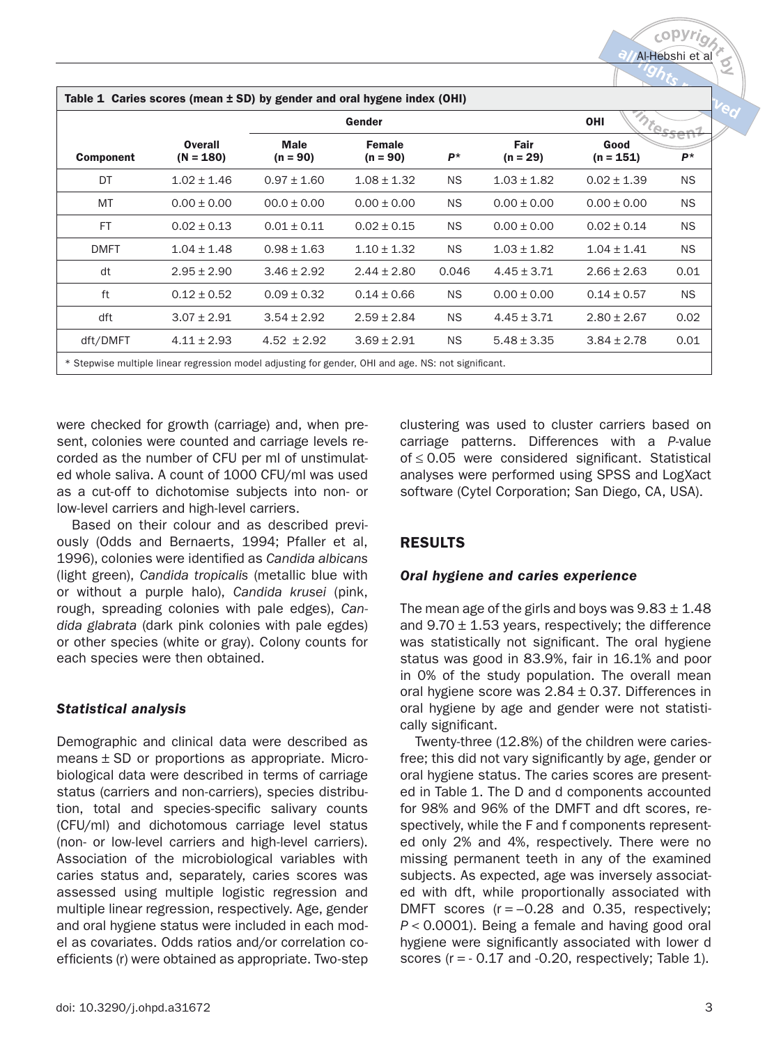|                  |                               | Gender                    |                             |           | OHI                |                     |           |
|------------------|-------------------------------|---------------------------|-----------------------------|-----------|--------------------|---------------------|-----------|
| <b>Component</b> | <b>Overall</b><br>$(N = 180)$ | <b>Male</b><br>$(n = 90)$ | <b>Female</b><br>$(n = 90)$ | $P^*$     | Fair<br>$(n = 29)$ | Good<br>$(n = 151)$ | $P^*$     |
| DT               | $1.02 \pm 1.46$               | $0.97 \pm 1.60$           | $1.08 \pm 1.32$             | <b>NS</b> | $1.03 \pm 1.82$    | $0.02 \pm 1.39$     | <b>NS</b> |
| <b>MT</b>        | $0.00 \pm 0.00$               | $00.0 \pm 0.00$           | $0.00 \pm 0.00$             | <b>NS</b> | $0.00 \pm 0.00$    | $0.00 \pm 0.00$     | <b>NS</b> |
| <b>FT</b>        | $0.02 \pm 0.13$               | $0.01 \pm 0.11$           | $0.02 \pm 0.15$             | <b>NS</b> | $0.00 \pm 0.00$    | $0.02 \pm 0.14$     | <b>NS</b> |
| <b>DMFT</b>      | $1.04 \pm 1.48$               | $0.98 \pm 1.63$           | $1.10 \pm 1.32$             | <b>NS</b> | $1.03 \pm 1.82$    | $1.04 \pm 1.41$     | <b>NS</b> |
| dt               | $2.95 \pm 2.90$               | $3.46 \pm 2.92$           | $2.44 \pm 2.80$             | 0.046     | $4.45 \pm 3.71$    | $2.66 \pm 2.63$     | 0.01      |
| ft               | $0.12 \pm 0.52$               | $0.09 \pm 0.32$           | $0.14 \pm 0.66$             | <b>NS</b> | $0.00 \pm 0.00$    | $0.14 \pm 0.57$     | <b>NS</b> |
| dft              | $3.07 \pm 2.91$               | $3.54 \pm 2.92$           | $2.59 \pm 2.84$             | <b>NS</b> | $4.45 \pm 3.71$    | $2.80 \pm 2.67$     | 0.02      |
| dft/DMFT         | $4.11 \pm 2.93$               | $4.52 \pm 2.92$           | $3.69 \pm 2.91$             | NS.       | $5.48 \pm 3.35$    | $3.84 \pm 2.78$     | 0.01      |

were checked for growth (carriage) and, when present, colonies were counted and carriage levels recorded as the number of CFU per ml of unstimulated whole saliva. A count of 1000 CFU/ml was used as a cut-off to dichotomise subjects into non- or low-level carriers and high-level carriers.

Based on their colour and as described previously (Odds and Bernaerts, 1994; Pfaller et al, 1996), colonies were identified as Candida albicans (light green), Candida tropicalis (metallic blue with or without a purple halo), Candida krusei (pink, rough, spreading colonies with pale edges), Candida glabrata (dark pink colonies with pale egdes) or other species (white or gray). Colony counts for each species were then obtained.

#### *Statistical analysis*

Demographic and clinical data were described as means  $\pm$  SD or proportions as appropriate. Microbiological data were described in terms of carriage status (carriers and non-carriers), species distribution, total and species-specific salivary counts (CFU/ml) and dichotomous carriage level status (non- or low-level carriers and high-level carriers). Association of the microbiological variables with caries status and, separately, caries scores was assessed using multiple logistic regression and multiple linear regression, respectively. Age, gender and oral hygiene status were included in each model as covariates. Odds ratios and/or correlation coefficients (r) were obtained as appropriate. Two-step clustering was used to cluster carriers based on carriage patterns. Differences with a P-value of ≤ 0.05 were considered significant. Statistical analyses were performed using SPSS and LogXact software (Cytel Corporation; San Diego, CA, USA).

## **RESULTS**

## *Oral hygiene and caries experience*

The mean age of the girls and boys was  $9.83 \pm 1.48$ and  $9.70 \pm 1.53$  years, respectively; the difference was statistically not significant. The oral hygiene status was good in 83.9%, fair in 16.1% and poor in 0% of the study population. The overall mean oral hygiene score was  $2.84 \pm 0.37$ . Differences in oral hygiene by age and gender were not statistically significant.

Twenty-three (12.8%) of the children were cariesfree; this did not vary significantly by age, gender or oral hygiene status. The caries scores are presented in Table 1. The D and d components accounted for 98% and 96% of the DMFT and dft scores, respectively, while the F and f components represented only 2% and 4%, respectively. There were no missing permanent teeth in any of the examined subjects. As expected, age was inversely associated with dft, while proportionally associated with DMFT scores  $(r = -0.28$  and 0.35, respectively;  $P < 0.0001$ ). Being a female and having good oral hygiene were significantly associated with lower d scores  $(r = -0.17$  and  $-0.20$ , respectively; Table 1).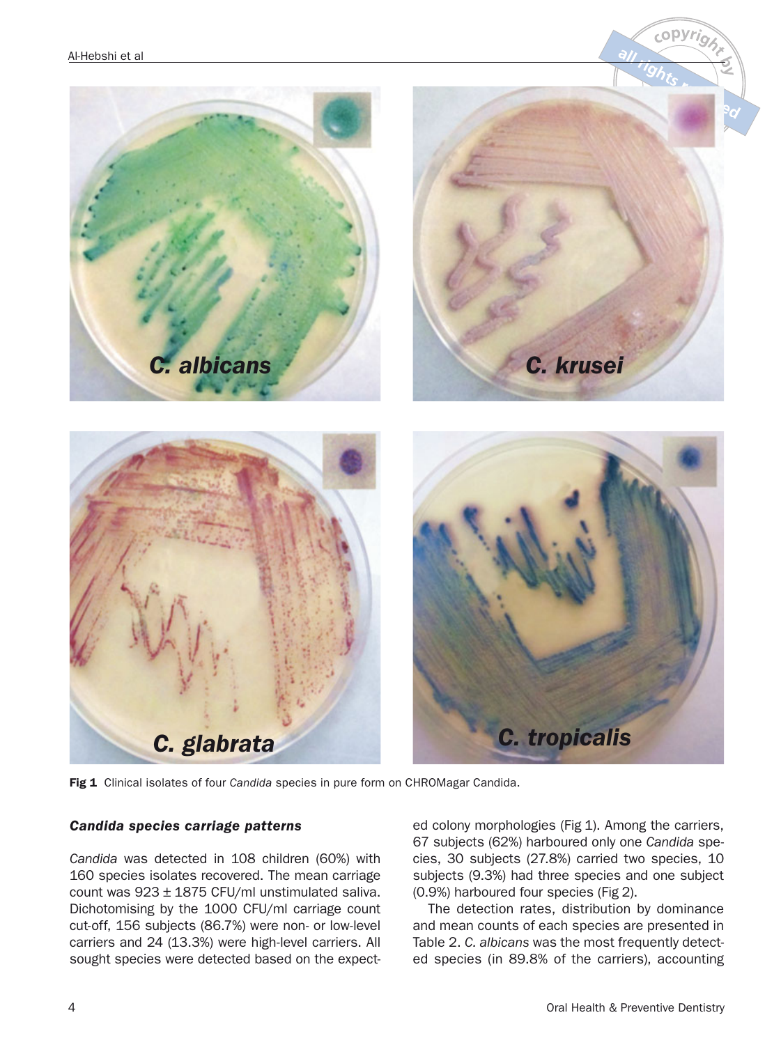

**Fig 1**  Clinical isolates of four Candida species in pure form on CHROMagar Candida.

#### *Candida species carriage patterns*

Candida was detected in 108 children (60%) with 160 species isolates recovered. The mean carriage count was 923 ± 1875 CFU/ml unstimulated saliva. Dichotomising by the 1000 CFU/ml carriage count cut-off, 156 subjects (86.7%) were non- or low-level carriers and 24 (13.3%) were high-level carriers. All sought species were detected based on the expect-

ed colony morphologies (Fig 1). Among the carriers, 67 subjects (62%) harboured only one Candida species, 30 subjects (27.8%) carried two species, 10 subjects (9.3%) had three species and one subject (0.9%) harboured four species (Fig 2).

The detection rates, distribution by dominance and mean counts of each species are presented in Table 2. C. albicans was the most frequently detected species (in 89.8% of the carriers), accounting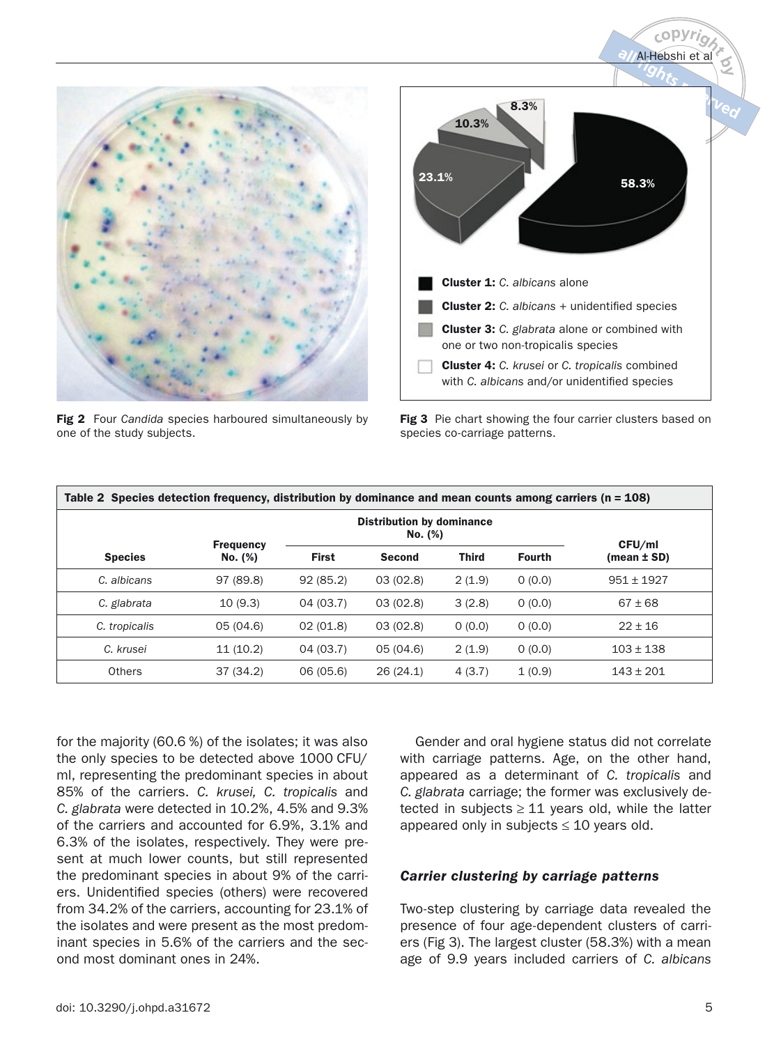

**Fig 2** Four Candida species harboured simultaneously by one of the study subjects.



**Fig 3**  Pie chart showing the four carrier clusters based on species co-carriage patterns.

| Table 2 Species detection frequency, distribution by dominance and mean counts among carriers ( $n = 108$ ) |                  |                                             |               |              |               |                 |
|-------------------------------------------------------------------------------------------------------------|------------------|---------------------------------------------|---------------|--------------|---------------|-----------------|
|                                                                                                             | <b>Frequency</b> | <b>Distribution by dominance</b><br>No. (%) |               |              |               | CFU/ml          |
| <b>Species</b>                                                                                              | No. (%)          | <b>First</b>                                | <b>Second</b> | <b>Third</b> | <b>Fourth</b> | $(mean \pm SD)$ |
| C. albicans                                                                                                 | 97 (89.8)        | 92(85.2)                                    | 03(02.8)      | 2(1.9)       | 0(0.0)        | $951 \pm 1927$  |
| C. glabrata                                                                                                 | 10(9.3)          | 04 (03.7)                                   | 03(02.8)      | 3(2.8)       | 0(0.0)        | $67 \pm 68$     |
| C. tropicalis                                                                                               | 05 (04.6)        | 02(01.8)                                    | 03(02.8)      | 0(0.0)       | 0(0.0)        | $22 \pm 16$     |
| C. krusei                                                                                                   | 11(10.2)         | 04(03.7)                                    | 05 (04.6)     | 2(1.9)       | 0(0.0)        | $103 \pm 138$   |
| Others                                                                                                      | 37(34.2)         | 06 (05.6)                                   | 26(24.1)      | 4(3.7)       | 1(0.9)        | $143 \pm 201$   |

for the majority (60.6 %) of the isolates; it was also the only species to be detected above 1000 CFU/ ml, representing the predominant species in about 85% of the carriers. C. krusei, C. tropicalis and C. glabrata were detected in 10.2%, 4.5% and 9.3% of the carriers and accounted for 6.9%, 3.1% and 6.3% of the isolates, respectively. They were present at much lower counts, but still represented the predominant species in about 9% of the carriers. Unidentified species (others) were recovered from 34.2% of the carriers, accounting for 23.1% of the isolates and were present as the most predominant species in 5.6% of the carriers and the second most dominant ones in 24%.

Gender and oral hygiene status did not correlate with carriage patterns. Age, on the other hand, appeared as a determinant of C. tropicalis and C. glabrata carriage; the former was exclusively detected in subjects  $\geq 11$  years old, while the latter appeared only in subjects  $\leq 10$  years old.

#### *Carrier clustering by carriage patterns*

Two-step clustering by carriage data revealed the presence of four age-dependent clusters of carriers (Fig 3). The largest cluster (58.3%) with a mean age of 9.9 years included carriers of C. albicans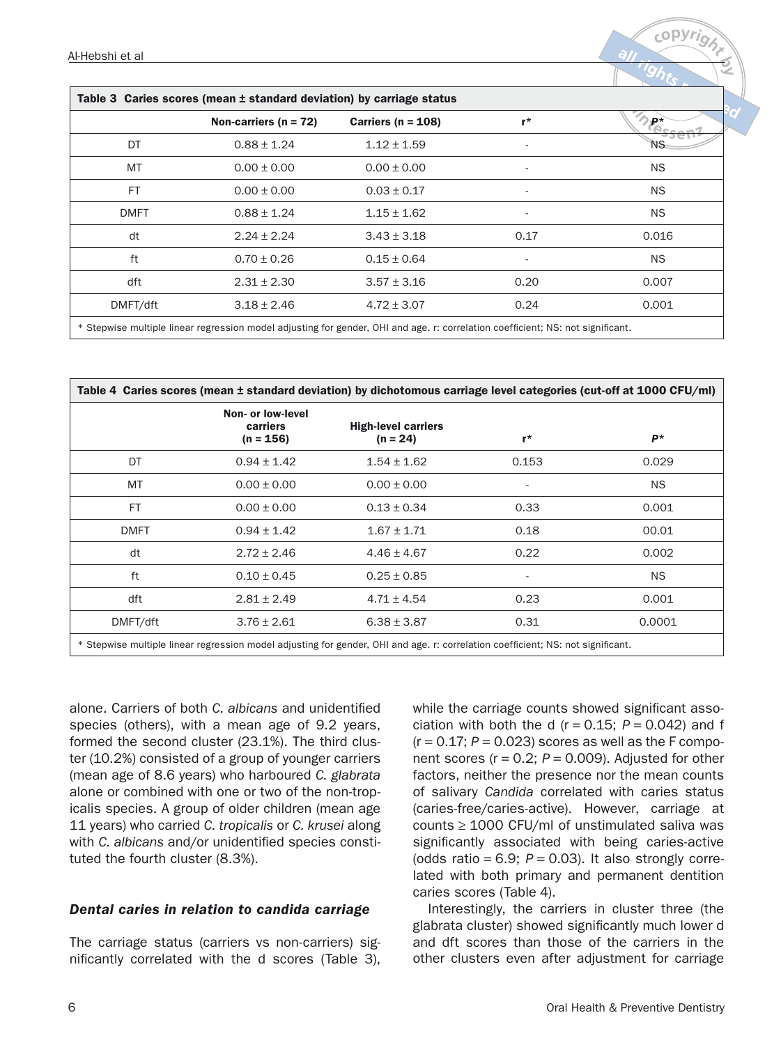| Table 3 Caries scores (mean ± standard deviation) by carriage status |                           |                        |                          |           |  |  |
|----------------------------------------------------------------------|---------------------------|------------------------|--------------------------|-----------|--|--|
|                                                                      | Non-carriers ( $n = 72$ ) | Carriers ( $n = 108$ ) | $r^{\star}$              | ₽*        |  |  |
| DT                                                                   | $0.88 \pm 1.24$           | $1.12 \pm 1.59$        |                          |           |  |  |
| MT                                                                   | $0.00 \pm 0.00$           | $0.00 \pm 0.00$        | $\overline{\phantom{a}}$ | <b>NS</b> |  |  |
| <b>FT</b>                                                            | $0.00 \pm 0.00$           | $0.03 \pm 0.17$        | $\overline{\phantom{a}}$ | <b>NS</b> |  |  |
| <b>DMFT</b>                                                          | $0.88 \pm 1.24$           | $1.15 \pm 1.62$        | $\overline{\phantom{a}}$ | <b>NS</b> |  |  |
| dt                                                                   | $2.24 \pm 2.24$           | $3.43 \pm 3.18$        | 0.17                     | 0.016     |  |  |
| ft                                                                   | $0.70 \pm 0.26$           | $0.15 \pm 0.64$        | $\overline{\phantom{a}}$ | <b>NS</b> |  |  |
| dft                                                                  | $2.31 \pm 2.30$           | $3.57 \pm 3.16$        | 0.20                     | 0.007     |  |  |
| DMFT/dft                                                             | $3.18 \pm 2.46$           | $4.72 \pm 3.07$        | 0.24                     | 0.001     |  |  |
|                                                                      |                           |                        |                          |           |  |  |

\* Stepwise multiple linear regression model adjusting for gender, OHI and age. r: correlation coefficient; NS: not significant.

| Table 4 Caries scores (mean ± standard deviation) by dichotomous carriage level categories (cut-off at 1000 CFU/ml)             |                                              |                                          |                          |           |  |  |
|---------------------------------------------------------------------------------------------------------------------------------|----------------------------------------------|------------------------------------------|--------------------------|-----------|--|--|
|                                                                                                                                 | Non- or low-level<br>carriers<br>$(n = 156)$ | <b>High-level carriers</b><br>$(n = 24)$ | $r^{\star}$              | P*        |  |  |
| DT                                                                                                                              | $0.94 \pm 1.42$                              | $1.54 \pm 1.62$                          | 0.153                    | 0.029     |  |  |
| MT                                                                                                                              | $0.00 \pm 0.00$                              | $0.00 \pm 0.00$                          | $\overline{\phantom{a}}$ | <b>NS</b> |  |  |
| <b>FT</b>                                                                                                                       | $0.00 \pm 0.00$                              | $0.13 \pm 0.34$                          | 0.33                     | 0.001     |  |  |
| <b>DMFT</b>                                                                                                                     | $0.94 \pm 1.42$                              | $1.67 \pm 1.71$                          | 0.18                     | 00.01     |  |  |
| dt                                                                                                                              | $2.72 \pm 2.46$                              | $4.46 \pm 4.67$                          | 0.22                     | 0.002     |  |  |
| ft                                                                                                                              | $0.10 \pm 0.45$                              | $0.25 \pm 0.85$                          |                          | <b>NS</b> |  |  |
| dft                                                                                                                             | $2.81 \pm 2.49$                              | $4.71 \pm 4.54$                          | 0.23                     | 0.001     |  |  |
| DMFT/dft                                                                                                                        | $3.76 \pm 2.61$                              | $6.38 \pm 3.87$                          | 0.31                     | 0.0001    |  |  |
| * Stepwise multiple linear regression model adjusting for gender, OHI and age. r: correlation coefficient; NS: not significant. |                                              |                                          |                          |           |  |  |

alone. Carriers of both C. albicans and unidentified species (others), with a mean age of 9.2 years, formed the second cluster (23.1%). The third cluster (10.2%) consisted of a group of younger carriers (mean age of 8.6 years) who harboured C. glabrata alone or combined with one or two of the non-tropicalis species. A group of older children (mean age 11 years) who carried C. tropicalis or C. krusei along with C. albicans and/or unidentified species constituted the fourth cluster (8.3%).

#### *Dental caries in relation to candida carriage*

The carriage status (carriers vs non-carriers) significantly correlated with the d scores (Table 3), while the carriage counts showed significant association with both the d ( $r = 0.15$ ;  $P = 0.042$ ) and f  $(r = 0.17; P = 0.023)$  scores as well as the F component scores ( $r = 0.2$ ;  $P = 0.009$ ). Adjusted for other factors, neither the presence nor the mean counts of salivary Candida correlated with caries status (caries-free/caries-active). However, carriage at counts  $\geq$  1000 CFU/ml of unstimulated saliva was significantly associated with being caries-active (odds ratio =  $6.9$ ;  $P = 0.03$ ). It also strongly correlated with both primary and permanent dentition caries scores (Table 4).

Interestingly, the carriers in cluster three (the glabrata cluster) showed significantly much lower d and dft scores than those of the carriers in the other clusters even after adjustment for carriage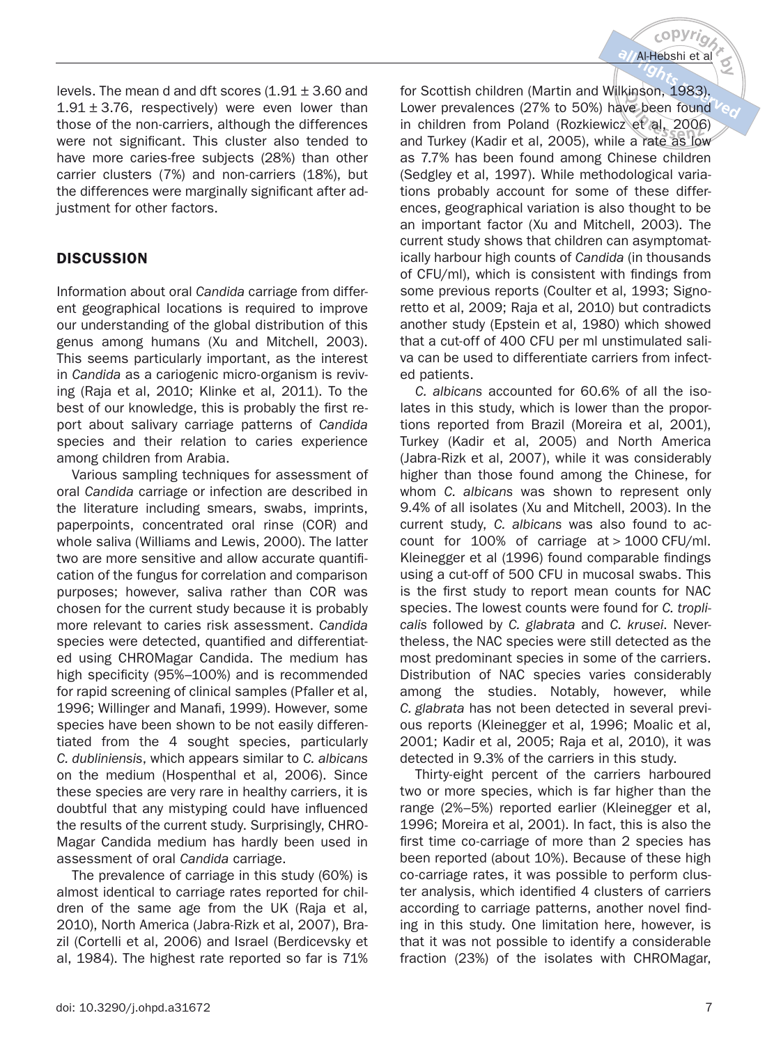levels. The mean d and dft scores  $(1.91 \pm 3.60$  and  $1.91 \pm 3.76$ , respectively) were even lower than those of the non-carriers, although the differences were not significant. This cluster also tended to have more caries-free subjects (28%) than other carrier clusters (7%) and non-carriers (18%), but the differences were marginally significant after adjustment for other factors.

# **DISCUSSION**

Information about oral Candida carriage from different geographical locations is required to improve our understanding of the global distribution of this genus among humans (Xu and Mitchell, 2003). This seems particularly important, as the interest in Candida as a cariogenic micro-organism is reviving (Raja et al, 2010; Klinke et al, 2011). To the best of our knowledge, this is probably the first report about salivary carriage patterns of Candida species and their relation to caries experience among children from Arabia.

Various sampling techniques for assessment of oral Candida carriage or infection are described in the literature including smears, swabs, imprints, paperpoints, concentrated oral rinse (COR) and whole saliva (Williams and Lewis, 2000). The latter two are more sensitive and allow accurate quantification of the fungus for correlation and comparison purposes; however, saliva rather than COR was chosen for the current study because it is probably more relevant to caries risk assessment. Candida species were detected, quantified and differentiated using CHROMagar Candida. The medium has high specificity (95%–100%) and is recommended for rapid screening of clinical samples (Pfaller et al, 1996; Willinger and Manafi, 1999). However, some species have been shown to be not easily differentiated from the 4 sought species, particularly C. dubliniensis, which appears similar to C. albicans on the medium (Hospenthal et al, 2006). Since these species are very rare in healthy carriers, it is doubtful that any mistyping could have influenced the results of the current study. Surprisingly, CHRO-Magar Candida medium has hardly been used in assessment of oral Candida carriage.

The prevalence of carriage in this study (60%) is almost identical to carriage rates reported for children of the same age from the UK (Raja et al, 2010), North America (Jabra-Rizk et al, 2007), Brazil (Cortelli et al, 2006) and Israel (Berdicevsky et al, 1984). The highest rate reported so far is 71%

for Scottish children (Martin and Wilkinson, 1983). Lower prevalences (27% to 50%) have been found  $V_{\odot}$ in children from Poland (Rozkiewicz et al, 2006) and Turkey (Kadir et al, 2005), while a rate as low as 7.7% has been found among Chinese children (Sedgley et al, 1997). While methodological variations probably account for some of these differences, geographical variation is also thought to be an important factor (Xu and Mitchell, 2003). The current study shows that children can asymptomatically harbour high counts of Candida (in thousands of CFU/ml), which is consistent with findings from some previous reports (Coulter et al, 1993; Signoretto et al, 2009; Raja et al, 2010) but contradicts another study (Epstein et al, 1980) which showed that a cut-off of 400 CFU per ml unstimulated saliva can be used to differentiate carriers from infected patients.

C. albicans accounted for 60.6% of all the isolates in this study, which is lower than the proportions reported from Brazil (Moreira et al, 2001), Turkey (Kadir et al, 2005) and North America (Jabra-Rizk et al, 2007), while it was considerably higher than those found among the Chinese, for whom C. albicans was shown to represent only 9.4% of all isolates (Xu and Mitchell, 2003). In the current study, C. albicans was also found to account for 100% of carriage at > 1000 CFU/ml. Kleinegger et al (1996) found comparable findings using a cut-off of 500 CFU in mucosal swabs. This is the first study to report mean counts for NAC species. The lowest counts were found for C. troplicalis followed by C. glabrata and C. krusei. Nevertheless, the NAC species were still detected as the most predominant species in some of the carriers. Distribution of NAC species varies considerably among the studies. Notably, however, while C. glabrata has not been detected in several previous reports (Kleinegger et al, 1996; Moalic et al, 2001; Kadir et al, 2005; Raja et al, 2010), it was detected in 9.3% of the carriers in this study.

Thirty-eight percent of the carriers harboured two or more species, which is far higher than the range (2%–5%) reported earlier (Kleinegger et al, 1996; Moreira et al, 2001). In fact, this is also the first time co-carriage of more than 2 species has been reported (about 10%). Because of these high co-carriage rates, it was possible to perform cluster analysis, which identified 4 clusters of carriers according to carriage patterns, another novel finding in this study. One limitation here, however, is that it was not possible to identify a considerable fraction (23%) of the isolates with CHROMagar,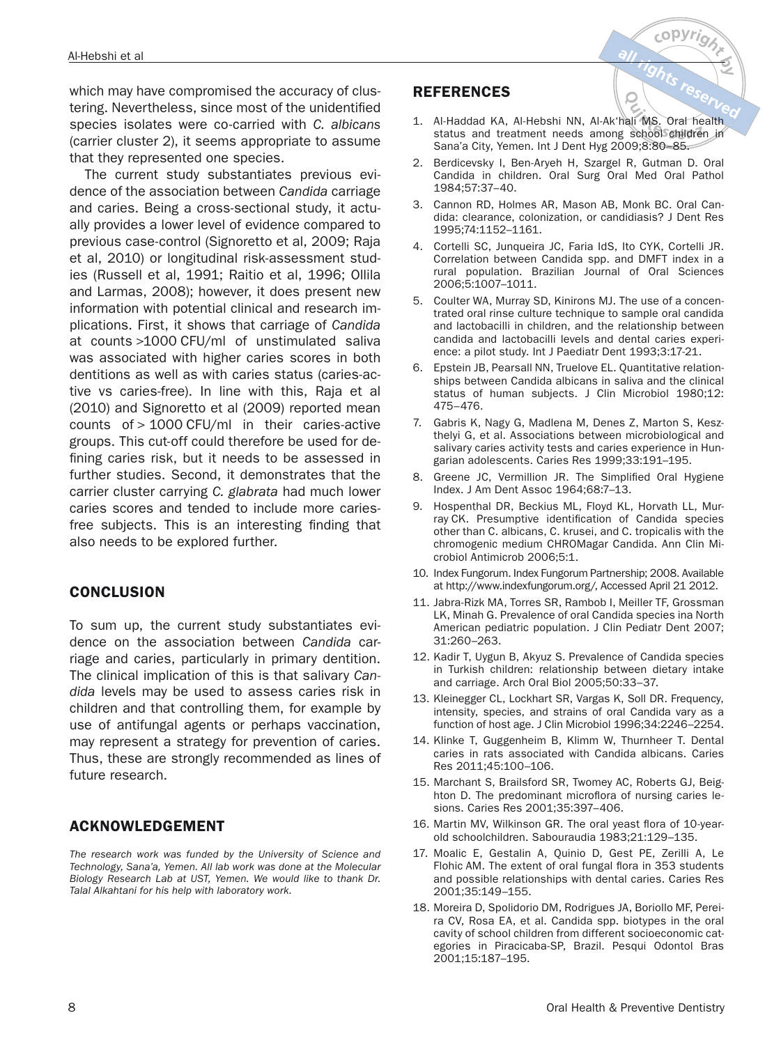which may have compromised the accuracy of clustering. Nevertheless, since most of the unidentified species isolates were co-carried with C. albicans (carrier cluster 2), it seems appropriate to assume that they represented one species.

The current study substantiates previous evidence of the association between Candida carriage and caries. Being a cross-sectional study, it actually provides a lower level of evidence compared to previous case-control (Signoretto et al, 2009; Raja et al, 2010) or longitudinal risk-assessment studies (Russell et al, 1991; Raitio et al, 1996; Ollila and Larmas, 2008); however, it does present new information with potential clinical and research implications. First, it shows that carriage of Candida at counts >1000 CFU/ml of unstimulated saliva was associated with higher caries scores in both dentitions as well as with caries status (caries-active vs caries-free). In line with this, Raja et al (2010) and Signoretto et al (2009) reported mean counts of > 1000 CFU/ml in their caries-active groups. This cut-off could therefore be used for defining caries risk, but it needs to be assessed in further studies. Second, it demonstrates that the carrier cluster carrying C. glabrata had much lower caries scores and tended to include more cariesfree subjects. This is an interesting finding that also needs to be explored further.

## **CONCLUSION**

To sum up, the current study substantiates evidence on the association between Candida carriage and caries, particularly in primary dentition. The clinical implication of this is that salivary Candida levels may be used to assess caries risk in children and that controlling them, for example by use of antifungal agents or perhaps vaccination, may represent a strategy for prevention of caries. Thus, these are strongly recommended as lines of future research.

## **ACKNOWLEDGEMENT**

The research work was funded by the University of Science and Technology, Sana'a, Yemen. All lab work was done at the Molecular Biology Research Lab at UST, Yemen. We would like to thank Dr. Talal Alkahtani for his help with laboratory work.

#### **REFERENCES**

1. Al-Haddad KA, Al-Hebshi NN, Al-Ak'hali MS. Oral health status and treatment needs among school children in Sana'a City, Yemen. Int J Dent Hyg 2009;8:80–85.

 $cop$ 

- 2. Berdicevsky I, Ben-Aryeh H, Szargel R, Gutman D. Oral Candida in children. Oral Surg Oral Med Oral Pathol 1984;57:37–40.
- 3. Cannon RD, Holmes AR, Mason AB, Monk BC. Oral Candida: clearance, colonization, or candidiasis? J Dent Res 1995;74:1152–1161.
- 4. Cortelli SC, Junqueira JC, Faria IdS, Ito CYK, Cortelli JR. Correlation between Candida spp. and DMFT index in a rural population. Brazilian Journal of Oral Sciences 2006;5:1007–1011.
- 5. Coulter WA, Murray SD, Kinirons MJ. The use of a concentrated oral rinse culture technique to sample oral candida and lactobacilli in children, and the relationship between candida and lactobacilli levels and dental caries experience: a pilot study. Int J Paediatr Dent 1993;3:17-21.
- 6. Epstein JB, Pearsall NN, Truelove EL. Quantitative relationships between Candida albicans in saliva and the clinical status of human subjects. J Clin Microbiol 1980;12: 475–476.
- 7. Gabris K, Nagy G, Madlena M, Denes Z, Marton S, Keszthelyi G, et al. Associations between microbiological and salivary caries activity tests and caries experience in Hungarian adolescents. Caries Res 1999;33:191–195.
- 8. Greene JC, Vermillion JR. The Simplified Oral Hygiene Index. J Am Dent Assoc 1964;68:7–13.
- 9. Hospenthal DR, Beckius ML, Floyd KL, Horvath LL, Murray CK. Presumptive identification of Candida species other than C. albicans, C. krusei, and C. tropicalis with the chromogenic medium CHROMagar Candida. Ann Clin Microbiol Antimicrob 2006;5:1.
- 10. Index Fungorum. Index Fungorum Partnership; 2008. Available at http://www.indexfungorum.org/, Accessed April 21 2012.
- 11. Jabra-Rizk MA, Torres SR, Rambob I, Meiller TF, Grossman LK, Minah G. Prevalence of oral Candida species ina North American pediatric population. J Clin Pediatr Dent 2007; 31:260–263.
- 12. Kadir T, Uygun B, Akyuz S. Prevalence of Candida species in Turkish children: relationship between dietary intake and carriage. Arch Oral Biol 2005;50:33–37.
- 13. Kleinegger CL, Lockhart SR, Vargas K, Soll DR. Frequency, intensity, species, and strains of oral Candida vary as a function of host age. J Clin Microbiol 1996;34:2246–2254.
- 14. Klinke T, Guggenheim B, Klimm W, Thurnheer T. Dental caries in rats associated with Candida albicans. Caries Res 2011;45:100–106.
- 15. Marchant S, Brailsford SR, Twomey AC, Roberts GJ, Beighton D. The predominant microflora of nursing caries lesions. Caries Res 2001;35:397–406.
- 16. Martin MV, Wilkinson GR. The oral yeast flora of 10-yearold schoolchildren. Sabouraudia 1983;21:129–135.
- 17. Moalic E, Gestalin A, Quinio D, Gest PE, Zerilli A, Le Flohic AM. The extent of oral fungal flora in 353 students and possible relationships with dental caries. Caries Res 2001;35:149–155.
- 18. Moreira D, Spolidorio DM, Rodrigues JA, Boriollo MF, Pereira CV, Rosa EA, et al. Candida spp. biotypes in the oral cavity of school children from different socioeconomic categories in Piracicaba-SP, Brazil. Pesqui Odontol Bras 2001;15:187–195.